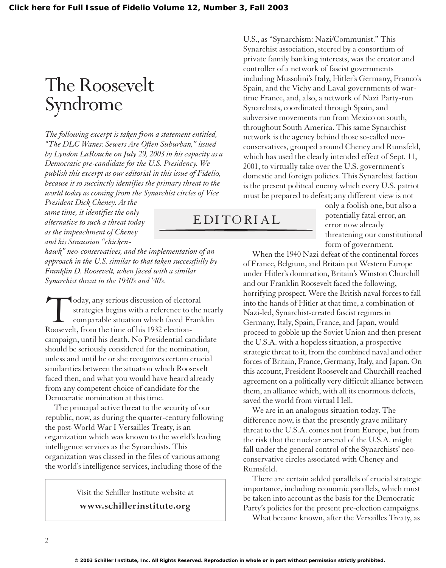## The Roosevelt Syndrome

*The following excerpt is taken from a statement entitled, "The DLC Wanes: Sewers Are Often Suburban," issued by Lyndon LaRouche on July 29, 2003 in his capacity as a Democratic pre-candidate for the U.S. Presidency. We publish this excerpt as our editorial in this issue of Fidelio, because it so succinctly identifies the primary threat to the world today as coming from the Synarchist circles of Vice*

*President Dick Cheney. At the same time, it identifies the only alternative to such a threat today as the impeachment of Cheney and his Straussian "chicken-*

*hawk" neo-conservatives, and the implementation of an approach in the U.S. similar to that taken successfully by Franklin D. Roosevelt, when faced with a similar Synarchist threat in the 1930's and '40's.*

Today, any serious discussion of electoral<br>strategies begins with a reference to the<br>comparable situation which faced Fran<br>Roosevelt, from the time of his 1932 electionstrategies begins with a reference to the nearly comparable situation which faced Franklin Roosevelt, from the time of his 1932 electioncampaign, until his death. No Presidential candidate should be seriously considered for the nomination, unless and until he or she recognizes certain crucial similarities between the situation which Roosevelt faced then, and what you would have heard already from any competent choice of candidate for the Democratic nomination at this time.

The principal active threat to the security of our republic, now, as during the quarter-century following the post-World War I Versailles Treaty, is an organization which was known to the world's leading intelligence services as the Synarchists. This organization was classed in the files of various among the world's intelligence services, including those of the

> Visit the Schiller Institute website at **www.schillerinstitute.org**

U.S., as "Synarchism: Nazi/Communist." This Synarchist association, steered by a consortium of private family banking interests, was the creator and controller of a network of fascist governments including Mussolini's Italy, Hitler's Germany, Franco's Spain, and the Vichy and Laval governments of wartime France, and, also, a network of Nazi Party-run Synarchists, coordinated through Spain, and subversive movements run from Mexico on south, throughout South America. This same Synarchist network is the agency behind those so-called neoconservatives, grouped around Cheney and Rumsfeld, which has used the clearly intended effect of Sept. 11, 2001, to virtually take over the U.S. government's domestic and foreign policies. This Synarchist faction is the present political enemy which every U.S. patriot must be prepared to defeat; any different view is not

## EDITORIAL

only a foolish one, but also a potentially fatal error, an error now already threatening our constitutional form of government.

When the 1940 Nazi defeat of the continental forces of France, Belgium, and Britain put Western Europe under Hitler's domination, Britain's Winston Churchill and our Franklin Roosevelt faced the following, horrifying prospect. Were the British naval forces to fall into the hands of Hitler at that time, a combination of Nazi-led, Synarchist-created fascist regimes in Germany, Italy, Spain, France, and Japan, would proceed to gobble up the Soviet Union and then present the U.S.A. with a hopeless situation, a prospective strategic threat to it, from the combined naval and other forces of Britain, France, Germany, Italy, and Japan. On this account, President Roosevelt and Churchill reached agreement on a politically very difficult alliance between them, an alliance which, with all its enormous defects, saved the world from virtual Hell.

We are in an analogous situation today. The difference now, is that the presently grave military threat to the U.S.A. comes not from Europe, but from the risk that the nuclear arsenal of the U.S.A. might fall under the general control of the Synarchists' neoconservative circles associated with Cheney and Rumsfeld.

There are certain added parallels of crucial strategic importance, including economic parallels, which must be taken into account as the basis for the Democratic Party's policies for the present pre-election campaigns.

What became known, after the Versailles Treaty, as